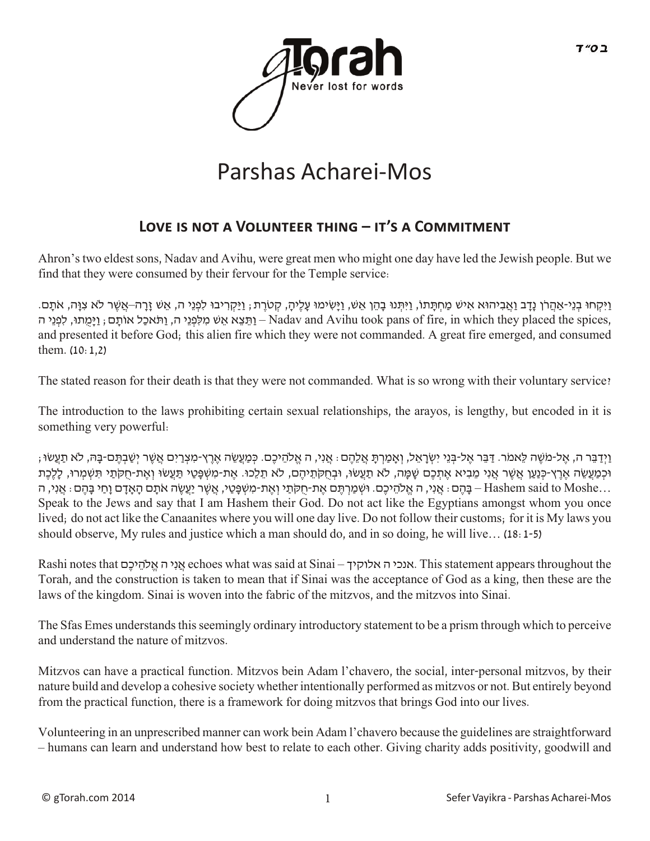

## Parshas Acharei-Mos

## LOVE IS NOT A VOLUNTEER THING – IT'S A COMMITMENT

Ahron's two eldest sons, Nadav and Avihu, were great men who might one day have led the Jewish people. But we find that they were consumed by their fervour for the Temple service:

וִיּקְחוּ בְנִי-אַהְרֹן נִדְב וְאַבִיהוּא אִיש מַחְתְּתוֹ, וִיּתְּנוּ בְהֶן אֲש, וִיּשִׂימוּ עָלִיה, קְטֹרְת ; וִיּקְרִיבוּ לְפְנֵי ה, אֲשֶׁ זֶרְה–אֲשֶׁר לָא צוּה, אֹתָם. ן, וַתֵּצֵא אֵש מִלְפְנֵי ה, וַתֹּאכָל אוֹתָם; וַיַּמִתוּ, לִפְנֵי ה – Nadav and Avihu took pans of fire, in which they placed the spices, and presented it before God; this alien fire which they were not commanded. A great fire emerged, and consumed them. (10:1,2)

The stated reason for their death is that they were not commanded. What is so wrong with their voluntary service?

The introduction to the laws prohibiting certain sexual relationships, the arayos, is lengthy, but encoded in it is something very powerful:

ן וַיְדַבֵּר ה, אֶל-מֹשֶׁה לֵאמֹר. דַּבֵּר אֶל-בְּנֵי יִשְׂרָאֶל, וְאָמַרְתָּ אֲלֶהֶם: אֲנִי, ה אֱלֹהֵיכֶם. כְּמַעֲשֶׂה אֶרֶץ-מִצְרָיִם אֲשֶׁר יְשֶׁבְתֶּם-בַּה, לֹא תַעֲשׂוּ; ּוּכְמַעֲשֶׂה אֶרֶץ-כְּנַעֶן אֲשֶׁר אֲנִי מֶבִיא אֶתְכֶם שַׁמֵּה, לֹא תַעֲשׂוּ, וּבְחָקֹתֶיהֶם, לֹא תַלֶכוּ. אֶת-מִשְׁפֵּטֵי וַעֲאֶת-חַקֹּתֵי וְּנִשְׁמְרוּ, לַלֶכֶת ...Hashem said to Moshe – בָּהֶם: אֲנִי, ה אֱ לֹהֵיכֶם. וּשְׁמַרְתֵּם אֶת-חַקֹּתַי וְאֶת-מִשְׁפָּטַי, אֲשֶׁר יַעֲשֶׂה אֹתָם הָאָדָם וָחַי בָּהֵם: אֲנִי, ה Speak to the Jews and say that I am Hashem their God. Do not act like the Egyptians amongst whom you once lived; do not act like the Canaanites where you will one day live. Do not follow their customs; for it is My laws you should observe, My rules and justice which a man should do, and in so doing, he will live… (18:1-5)

Rashi notes that םֶיכ ֵלהֹ ֱא ה יִנ ֲא echoes what was said at Sinai – אלוקיך ה אנכי. This statement appears throughout the Torah, and the construction is taken to mean that if Sinai was the acceptance of God as a king, then these are the laws of the kingdom. Sinai is woven into the fabric of the mitzvos, and the mitzvos into Sinai.

The Sfas Emes understands this seemingly ordinary introductory statement to be a prism through which to perceive and understand the nature of mitzvos.

Mitzvos can have a practical function. Mitzvos bein Adam l'chavero, the social, inter-personal mitzvos, by their nature build and develop a cohesive society whether intentionally performed as mitzvos or not. But entirely beyond from the practical function, there is a framework for doing mitzvos that brings God into our lives.

Volunteering in an unprescribed manner can work bein Adam l'chavero because the guidelines are straightforward – humans can learn and understand how best to relate to each other. Giving charity adds positivity, goodwill and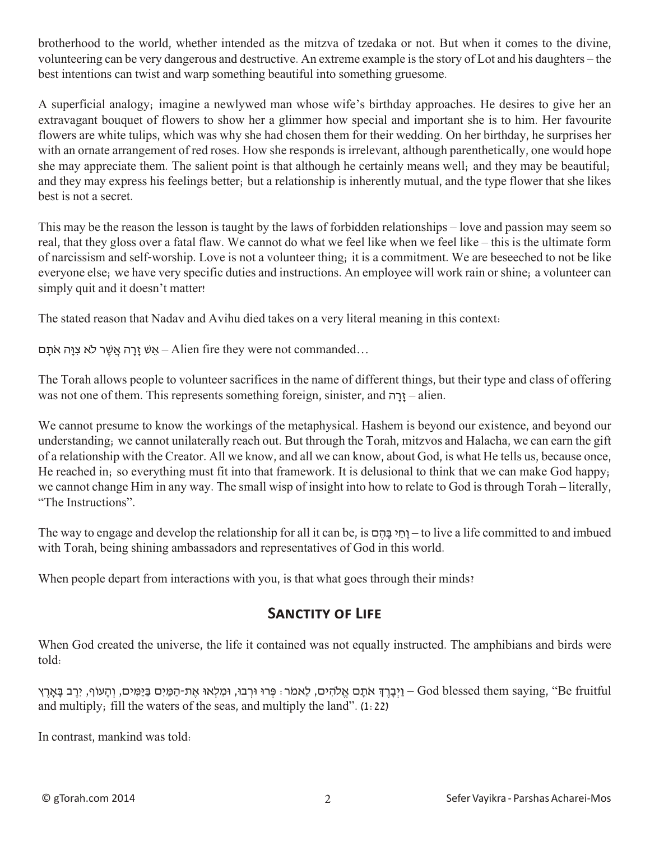brotherhood to the world, whether intended as the mitzva of tzedaka or not. But when it comes to the divine, volunteering can be very dangerous and destructive. An extreme example is the story of Lot and his daughters – the best intentions can twist and warp something beautiful into something gruesome.

A superficial analogy; imagine a newlywed man whose wife's birthday approaches. He desires to give her an extravagant bouquet of flowers to show her a glimmer how special and important she is to him. Her favourite flowers are white tulips, which was why she had chosen them for their wedding. On her birthday, he surprises her with an ornate arrangement of red roses. How she responds is irrelevant, although parenthetically, one would hope she may appreciate them. The salient point is that although he certainly means well; and they may be beautiful; and they may express his feelings better; but a relationship is inherently mutual, and the type flower that she likes best is not a secret.

This may be the reason the lesson is taught by the laws of forbidden relationships – love and passion may seem so real, that they gloss over a fatal flaw. We cannot do what we feel like when we feel like – this is the ultimate form of narcissism and self-worship. Love is not a volunteer thing; it is a commitment. We are beseeched to not be like everyone else; we have very specific duties and instructions. An employee will work rain or shine; a volunteer can simply quit and it doesn't matter!

The stated reason that Nadav and Avihu died takes on a very literal meaning in this context:

אַשׁ זַרָה אֲשֶר לֹא צִוָּה אֹתָם– Alien fire they were not commanded...

The Torah allows people to volunteer sacrifices in the name of different things, but their type and class of offering was not one of them. This represents something foreign, sinister, and  $\eta$ יַרָה – alien.

We cannot presume to know the workings of the metaphysical. Hashem is beyond our existence, and beyond our understanding; we cannot unilaterally reach out. But through the Torah, mitzvos and Halacha, we can earn the gift of a relationship with the Creator. All we know, and all we can know, about God, is what He tells us, because once, He reached in; so everything must fit into that framework. It is delusional to think that we can make God happy; we cannot change Him in any way. The small wisp of insight into how to relate to God is through Torah – literally, "The Instructions".

The way to engage and develop the relationship for all it can be, is ם ֶה ָבּ י ַחָו – to live a life committed to and imbued with Torah, being shining ambassadors and representatives of God in this world.

When people depart from interactions with you, is that what goes through their minds?

## **SANCTITY OF LIFE**

When God created the universe, the life it contained was not equally instructed. The amphibians and birds were told:

fruitful – וַיִּבְרָךְ אֹתָם אֱלֹהִים, לֵאמֹר: פְּרוּ וּרְבוּ, וּמִלְאוּ אֶת-הַמַּיִם בַּיַּמִּים, וְהַעוֹף, יִרֶב בַּאַרֶץ – God blessed them saying, "Be fruitful and multiply; fill the waters of the seas, and multiply the land". (1:22)

In contrast, mankind was told: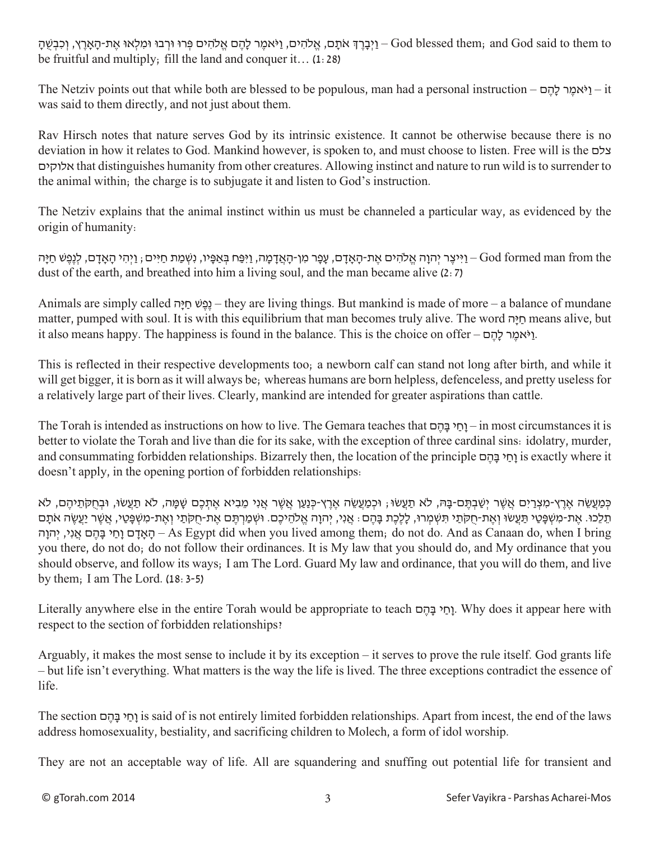יִבָּרֶךְ אֹתָם, אֱלֹהִים, אֲלֹהָים פְּרוּ וּרְבוּ וּמִלְאוּ אֶת-הָאֲרֶץ, וְכִבְשָׁה –God blessed them; and God said to them to be fruitful and multiply; fill the land and conquer it… (1:28)

The Netziv points out that while both are blessed to be populous, man had a personal instruction –  $\epsilon$ ו $\epsilon$ אמר להם was said to them directly, and not just about them.

Rav Hirsch notes that nature serves God by its intrinsic existence. It cannot be otherwise because there is no deviation in how it relates to God. Mankind however, is spoken to, and must choose to listen. Free will is the צלם אלוקים that distinguishes humanity from other creatures. Allowing instinct and nature to run wild is to surrender to the animal within; the charge is to subjugate it and listen to God's instruction.

The Netziv explains that the animal instinct within us must be channeled a particular way, as evidenced by the origin of humanity:

יִיצֶר יְהוָה אֱלֹהִים אֶת-הַאֲדָם, עָפָר מִן-הַאֲדַמַה, וַיִּפַּח בְּאֲפִּיו, נִשְׁמַת חַיִּים וָיִהִי הַאֲדָם, לְנֵפֶּשׁ חַיַּה [מִי dust of the earth, and breathed into him a living soul, and the man became alive (2:7)

Animals are simply called הַגְּפָּט חַיַּה – they are living things. But mankind is made of more – a balance of mundane matter, pumped with soul. It is with this equilibrium that man becomes truly alive. The word הָיּ ַח means alive, but it also means happy. The happiness is found in the balance. This is the choice on offer –  $\gamma$ יאמֵר לַהֵם.

This is reflected in their respective developments too; a newborn calf can stand not long after birth, and while it will get bigger, it is born as it will always be; whereas humans are born helpless, defenceless, and pretty useless for a relatively large part of their lives. Clearly, mankind are intended for greater aspirations than cattle.

The Torah is intended as instructions on how to live. The Gemara teaches that  $\Box$ וח $\Box$  – in most circumstances it is better to violate the Torah and live than die for its sake, with the exception of three cardinal sins: idolatry, murder, and consummating forbidden relationships. Bizarrely then, the location of the principle וחי בּהם is exactly where it doesn't apply, in the opening portion of forbidden relationships:

ּכְּמַעֲשֶׂה אֲרֵץ-מִצְרַיִם אֲשֶׁר יִשַּׁבְתֵּם-בָּה, לֹא תַעֲשׂוּ; וּכְמַעֲשֶׂה אֶרֵץ-כְּנַעַן אֲשֶׁר אֲנִי מֶבְיא אֶתִכֶם שַׁמַּה, לֹא תַעֲשוּ, וּבְחִקֹּתֵיהֶם, לֹא ּתֵלֶכוּ. אֶת-מִשְׁפָּטֵי תַּעֲשׂוּ וְאֶת-חִקֹּתַי תִּשְׁמְרוּ, לַלֶכֶת בָּהֶם : אֲנִי, יְהוַה אֱלֹהֶיכֶם. וּשְׁמַרְתֵּם אֶת-חִקֹּתַי וְאֶת-מִשְׁפָּטֵי, אֲשֶׁר יַעֲשֶׂה אֹתַם האדם וחי בּהם אני, יהוה – As Egypt did when you lived among them; do not do. And as Canaan do, when I bring you there, do not do; do not follow their ordinances. It is My law that you should do, and My ordinance that you should observe, and follow its ways; I am The Lord. Guard My law and ordinance, that you will do them, and live by them; I am The Lord.  $(18:3-5)$ 

Literally anywhere else in the entire Torah would be appropriate to teach ם ֶה ָבּ י ַחָו. Why does it appear here with respect to the section of forbidden relationships?

Arguably, it makes the most sense to include it by its exception – it serves to prove the rule itself. God grants life – but life isn't everything. What matters is the way the life is lived. The three exceptions contradict the essence of life.

The section ם ֶה ָבּ י ַחָו is said of is not entirely limited forbidden relationships. Apart from incest, the end of the laws address homosexuality, bestiality, and sacrificing children to Molech, a form of idol worship.

They are not an acceptable way of life. All are squandering and snuffing out potential life for transient and